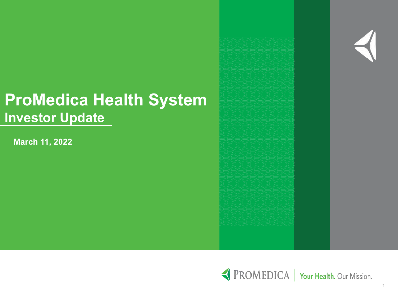### **ProMedica Health System Investor Update**

**March 11, 2022**



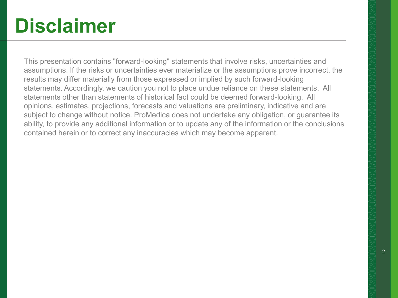## **Disclaimer**

This presentation contains "forward-looking" statements that involve risks, uncertainties and assumptions. If the risks or uncertainties ever materialize or the assumptions prove incorrect, the results may differ materially from those expressed or implied by such forward-looking statements. Accordingly, we caution you not to place undue reliance on these statements. All statements other than statements of historical fact could be deemed forward-looking. All opinions, estimates, projections, forecasts and valuations are preliminary, indicative and are subject to change without notice. ProMedica does not undertake any obligation, or guarantee its ability, to provide any additional information or to update any of the information or the conclusions contained herein or to correct any inaccuracies which may become apparent.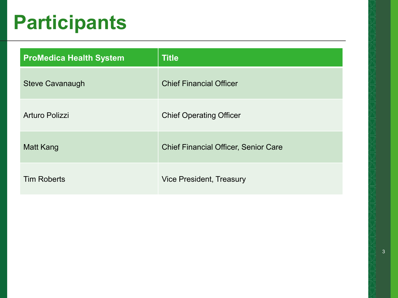## **Participants**

| <b>ProMedica Health System</b> | <b>Title</b>                                |
|--------------------------------|---------------------------------------------|
| <b>Steve Cavanaugh</b>         | <b>Chief Financial Officer</b>              |
| Arturo Polizzi                 | <b>Chief Operating Officer</b>              |
| Matt Kang                      | <b>Chief Financial Officer, Senior Care</b> |
| <b>Tim Roberts</b>             | Vice President, Treasury                    |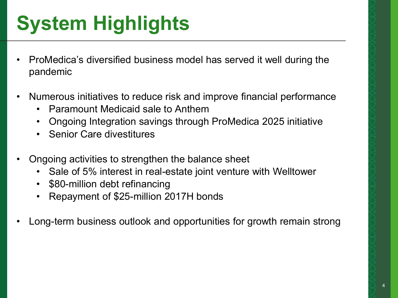# **System Highlights**

- ProMedica's diversified business model has served it well during the pandemic
- Numerous initiatives to reduce risk and improve financial performance
	- Paramount Medicaid sale to Anthem
	- Ongoing Integration savings through ProMedica 2025 initiative
	- Senior Care divestitures
- Ongoing activities to strengthen the balance sheet
	- Sale of 5% interest in real-estate joint venture with Welltower
	- \$80-million debt refinancing
	- Repayment of \$25-million 2017H bonds
- Long-term business outlook and opportunities for growth remain strong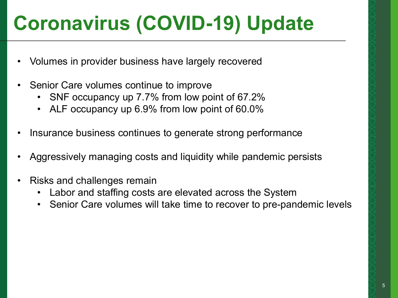# **Coronavirus (COVID-19) Update**

- Volumes in provider business have largely recovered
- Senior Care volumes continue to improve
	- SNF occupancy up 7.7% from low point of 67.2%
	- ALF occupancy up 6.9% from low point of 60.0%
- Insurance business continues to generate strong performance
- Aggressively managing costs and liquidity while pandemic persists
- Risks and challenges remain
	- Labor and staffing costs are elevated across the System
	- Senior Care volumes will take time to recover to pre-pandemic levels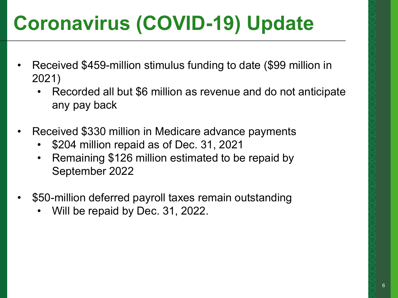## **Coronavirus (COVID-19) Update**

- Received \$459-million stimulus funding to date (\$99 million in 2021)
	- Recorded all but \$6 million as revenue and do not anticipate any pay back
- Received \$330 million in Medicare advance payments
	- \$204 million repaid as of Dec. 31, 2021
	- Remaining \$126 million estimated to be repaid by September 2022
- \$50-million deferred payroll taxes remain outstanding
	- Will be repaid by Dec. 31, 2022.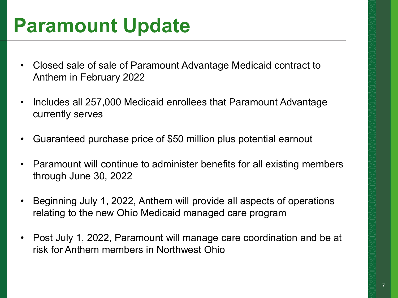## **Paramount Update**

- Closed sale of sale of Paramount Advantage Medicaid contract to Anthem in February 2022
- Includes all 257,000 Medicaid enrollees that Paramount Advantage currently serves
- Guaranteed purchase price of \$50 million plus potential earnout
- Paramount will continue to administer benefits for all existing members through June 30, 2022
- Beginning July 1, 2022, Anthem will provide all aspects of operations relating to the new Ohio Medicaid managed care program
- Post July 1, 2022, Paramount will manage care coordination and be at risk for Anthem members in Northwest Ohio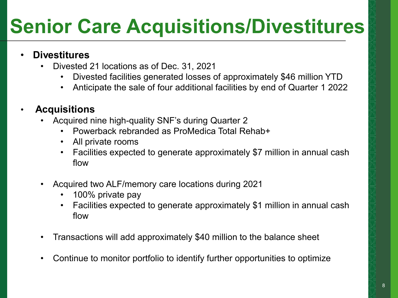## **Senior Care Acquisitions/Divestitures**

### • **Divestitures**

- Divested 21 locations as of Dec. 31, 2021
	- Divested facilities generated losses of approximately \$46 million YTD
	- Anticipate the sale of four additional facilities by end of Quarter 1 2022

### • **Acquisitions**

- Acquired nine high-quality SNF's during Quarter 2
	- Powerback rebranded as ProMedica Total Rehab+
	- All private rooms
	- Facilities expected to generate approximately \$7 million in annual cash flow
- Acquired two ALF/memory care locations during 2021
	- 100% private pay
	- Facilities expected to generate approximately \$1 million in annual cash flow
- Transactions will add approximately \$40 million to the balance sheet
- Continue to monitor portfolio to identify further opportunities to optimize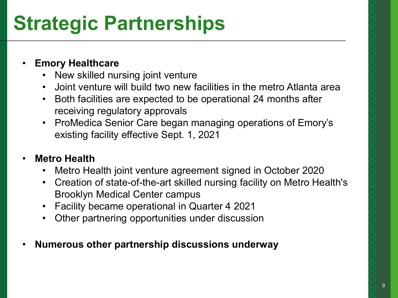## **Strategic Partnerships**

### • **Emory Healthcare**

- New skilled nursing joint venture
- Joint venture will build two new facilities in the metro Atlanta area
- Both facilities are expected to be operational 24 months after receiving regulatory approvals
- ProMedica Senior Care began managing operations of Emory's existing facility effective Sept. 1, 2021

### • **Metro Health**

- Metro Health joint venture agreement signed in October 2020
- Creation of state-of-the-art skilled nursing facility on Metro Health's Brooklyn Medical Center campus
- Facility became operational in Quarter 4 2021
- Other partnering opportunities under discussion
- **Numerous other partnership discussions underway**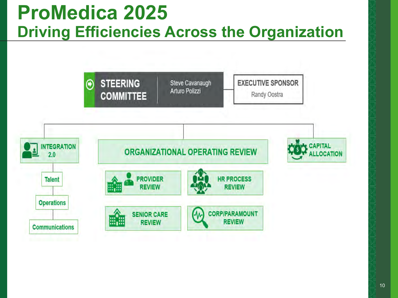## **ProMedica 2025 Driving Efficiencies Across the Organization**

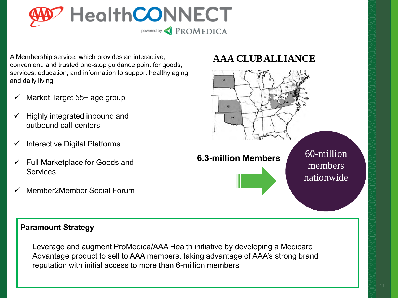

A Membership service, which provides an interactive, convenient, and trusted one-stop guidance point for goods, services, education, and information to support healthy aging and daily living.

- Market Target 55+ age group
- Highly integrated inbound and outbound call-centers
- Interactive Digital Platforms
- Full Marketplace for Goods and **Services**
- ✓ Member2Member Social Forum

#### **AAA CLUBALLIANCE**



#### **Paramount Strategy**

Leverage and augment ProMedica/AAA Health initiative by developing a Medicare Advantage product to sell to AAA members, taking advantage of AAA's strong brand reputation with initial access to more than 6-million members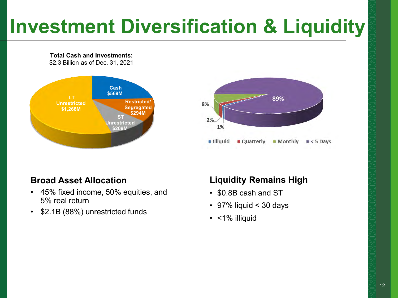## **Investment Diversification & Liquidity**

**Total Cash and Investments:** \$2.3 Billion as of Dec. 31, 2021





#### **Broad Asset Allocation**

- 45% fixed income, 50% equities, and 5% real return
- \$2.1B (88%) unrestricted funds

#### **Liquidity Remains High**

- \$0.8B cash and ST
- 97% liquid  $<$  30 days
- <1% illiquid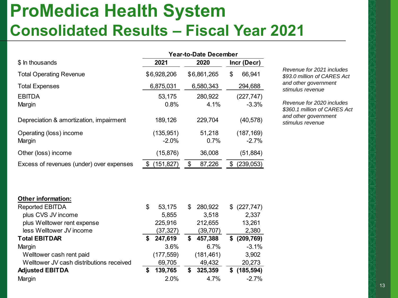### **ProMedica Health System Consolidated Results – Fiscal Year 2021**

| \$ In thousands                          | <b>Year-to-Date December</b> |              |                  |  |  |  |  |
|------------------------------------------|------------------------------|--------------|------------------|--|--|--|--|
|                                          | 2021                         | 2020         | Incr (Decr)      |  |  |  |  |
| <b>Total Operating Revenue</b>           | \$6,928,206                  | \$6,861,265  | 66,941<br>\$     |  |  |  |  |
| <b>Total Expenses</b>                    | 6,875,031                    | 6,580,343    | 294,688          |  |  |  |  |
| <b>EBITDA</b>                            | 53,175                       | 280,922      | (227, 747)       |  |  |  |  |
| Margin                                   | 0.8%                         | 4.1%         | $-3.3%$          |  |  |  |  |
| Depreciation & amortization, impairment  | 189,126                      | 229,704      | (40, 578)        |  |  |  |  |
| Operating (loss) income                  | (135, 951)                   | 51,218       | (187, 169)       |  |  |  |  |
| Margin                                   | $-2.0%$                      | 0.7%         | $-2.7%$          |  |  |  |  |
| Other (loss) income                      | (15, 876)                    | 36,008       | (51, 884)        |  |  |  |  |
| Excess of revenues (under) over expenses | \$<br>(151, 827)             | 87,226<br>\$ | (239, 053)<br>\$ |  |  |  |  |

*Revenue for 2021 includes \$93.0 million of CARES Act and other government stimulus revenue*

*Revenue for 2020 includes \$360.1 million of CARES Act and other government stimulus revenue*

| <b>Other information:</b>                |    |            |    |            |                  |
|------------------------------------------|----|------------|----|------------|------------------|
| <b>Reported EBITDA</b>                   | \$ | 53,175     | S  | 280,922    | \$ (227,747)     |
| plus CVS JV income                       |    | 5,855      |    | 3,518      | 2,337            |
| plus Welltower rent expense              |    | 225,916    |    | 212,655    | 13,261           |
| less Welltower JV income                 |    | (37, 327)  |    | (39, 707)  | 2,380            |
| <b>Total EBITDAR</b>                     | \$ | 247,619    | \$ | 457,388    | (209, 769)<br>S. |
| Margin                                   |    | 3.6%       |    | 6.7%       | $-3.1%$          |
| Welltower cash rent paid                 |    | (177, 559) |    | (181, 461) | 3,902            |
| Welltower JV cash distributions received |    | 69,705     |    | 49,432     | 20,273           |
| <b>Adjusted EBITDA</b>                   | S  | 139,765    | S  | 325,359    | (185, 594)<br>S. |
| Margin                                   |    | 2.0%       |    | 4.7%       | $-2.7%$          |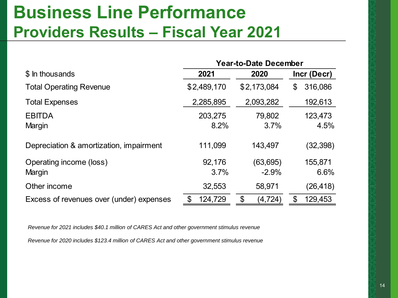### **Business Line Performance Providers Results – Fiscal Year 2021**

| \$ In thousands                          | <b>Year-to-Date December</b> |                |               |  |  |  |  |
|------------------------------------------|------------------------------|----------------|---------------|--|--|--|--|
|                                          | 2021                         | 2020           | Incr (Decr)   |  |  |  |  |
| <b>Total Operating Revenue</b>           | \$2,489,170                  | \$2,173,084    | 316,086<br>\$ |  |  |  |  |
| <b>Total Expenses</b>                    | 2,285,895                    | 2,093,282      | 192,613       |  |  |  |  |
| <b>EBITDA</b>                            | 203,275                      | 79,802         | 123,473       |  |  |  |  |
| Margin                                   | 8.2%                         | 3.7%           | 4.5%          |  |  |  |  |
| Depreciation & amortization, impairment  | 111,099                      | 143,497        | (32, 398)     |  |  |  |  |
| Operating income (loss)                  | 92,176                       | (63, 695)      | 155,871       |  |  |  |  |
| Margin                                   | 3.7%                         | $-2.9%$        | 6.6%          |  |  |  |  |
| Other income                             | 32,553                       | 58,971         | (26, 418)     |  |  |  |  |
| Excess of revenues over (under) expenses | 124,729<br>\$                | \$<br>(4, 724) | 129,453       |  |  |  |  |

*Revenue for 2021 includes \$40.1 million of CARES Act and other government stimulus revenue*

*Revenue for 2020 includes \$123.4 million of CARES Act and other government stimulus revenue*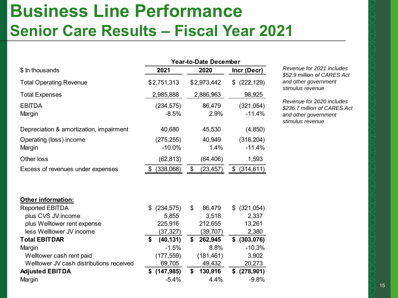## **Business Line Performance Senior Care Results – Fiscal Year 2021**

| \$ In thousands                         | 2021                    | <b>Year-to-Date December</b><br>2020 | Incr (Decr)            |
|-----------------------------------------|-------------------------|--------------------------------------|------------------------|
| <b>Total Operating Revenue</b>          | \$2,751,313             | \$2,973,442                          | (222, 129)<br>\$       |
| <b>Total Expenses</b>                   | 2,985,888               | 2,886,963                            | 98,925                 |
| <b>EBITDA</b><br>Margin                 | (234, 575)<br>$-8.5%$   | 86,479<br>2.9%                       | (321, 054)<br>$-11.4%$ |
| Depreciation & amortization, impairment | 40,680                  | 45,530                               | (4, 850)               |
| Operating (loss) income<br>Margin       | (275, 255)<br>$-10.0\%$ | 40,949<br>$1.4\%$                    | (316, 204)<br>$-11.4%$ |
| Other loss                              | (62, 813)               | (64, 406)                            | 1,593                  |
| Excess of revenues under expenses       | (338,068)               | (23, 457)                            | S<br>(314, 611)        |

*Revenue for 2021 includes \$52.9 million of CARES Act and other government stimulus revenue*

*Revenue for 2020 includes \$236.7 million of CARES Act and other government stimulus revenue*

#### **Other information:**

| <b>Reported EBITDA</b>                   | \$ | (234, 575) | \$ | 86,479     | \$ | (321, 054) |  |
|------------------------------------------|----|------------|----|------------|----|------------|--|
| plus CVS JV income                       |    | 5,855      |    | 3,518      |    | 2,337      |  |
| plus Welltower rent expense              |    | 225,916    |    | 212,655    |    | 13,261     |  |
| less Welltower JV income                 |    | (37, 327)  |    | (39, 707)  |    | 2,380      |  |
| <b>Total EBITDAR</b>                     | \$ | (40,131)   | \$ | 262,945    | S. | (303, 076) |  |
| Margin                                   |    | $-1.5%$    |    | 8.8%       |    | $-10.3%$   |  |
| Welltower cash rent paid                 |    | (177, 559) |    | (181, 461) |    | 3,902      |  |
| Welltower JV cash distributions received |    | 69,705     |    | 49,432     |    | 20,273     |  |
| <b>Adjusted EBITDA</b>                   | S  | (147, 985) | S  | 130,916    | S. | (278, 901) |  |
| Margin                                   |    | $-5.4%$    |    | 4.4%       |    | $-9.8%$    |  |
|                                          |    |            |    |            |    |            |  |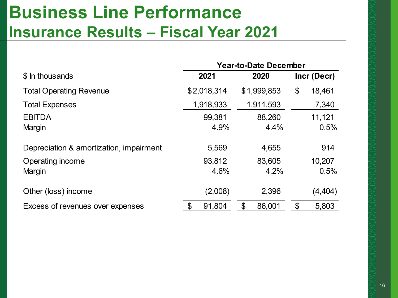## **Business Line Performance Insurance Results – Fiscal Year 2021**

| \$ In thousands                         | <b>Year-to-Date December</b> |                |                |  |  |  |  |
|-----------------------------------------|------------------------------|----------------|----------------|--|--|--|--|
|                                         | 2021                         | 2020           | Incr (Decr)    |  |  |  |  |
| <b>Total Operating Revenue</b>          | \$2,018,314                  | \$1,999,853    | \$<br>18,461   |  |  |  |  |
| <b>Total Expenses</b>                   | 1,918,933                    | 1,911,593      | 7,340          |  |  |  |  |
| <b>EBITDA</b><br>Margin                 | 99,381<br>4.9%               | 88,260<br>4.4% | 11,121<br>0.5% |  |  |  |  |
| Depreciation & amortization, impairment | 5,569                        | 4,655          | 914            |  |  |  |  |
| Operating income<br>Margin              | 93,812<br>4.6%               | 83,605<br>4.2% | 10,207<br>0.5% |  |  |  |  |
| Other (loss) income                     | (2,008)                      | 2,396          | (4, 404)       |  |  |  |  |
| Excess of revenues over expenses        | 91,804<br>\$                 | 86,001<br>\$   | 5,803<br>\$    |  |  |  |  |